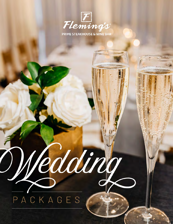

# PACKAGES

Medding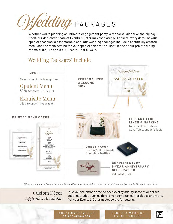

Whether you're planning an intimate engagement party, a rehearsal dinner or the big day itself, our dedicated team of Events & Catering Associates will ensure every detail of your special occasion is a memorable one. Our wedding packages include a beautifully crafted menu and the main setting for your special celebration. Host in one of our private dining rooms or inquire about a full restaurant buyout.

## Wedding Packages<sup>t</sup> Include



† Food and beverage minimum. No restrictions on time or quest count. Price does not include tax, gratuity or applicable private event fees.

**Custom Décor Upgrades Available**  Take your celebration to the next level by adding some of our other décor upgrades such us floral arrangements, centerpieces and more. Ask your Events & Catering Associate for details.

**QUESTIONS? CALL US** AT 813-830-4330

**UBMIT A WEDDING** EVENT REQUEST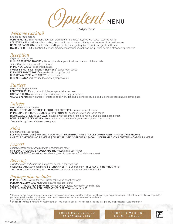Ont, MENU

 *\$220 per Guest†*

### *Welcome Cocktail*

*select one to be passed* OLD FASHIONED Basil Hayden's bourbon, aromas of orange peel, layered with sweet toasted vanilla CALIFORNIA JAM JAR Ketel One vodka, fresh basil, ripe strawberry & citrus with savory hints on the nose NOPALES MARGARITA Tequila Ocho Los Nopales Plata vintage tequila, a classic margarita with lime ITALIAN FLIGHTPLAN Aviation American gin, Cocchi Americano, poblano syrup, fresh herbs & strawberry preserves

## *Reception*

*displayed upon arrival* CHILLED SEAFOOD TOWER\* ahi tuna poke, shrimp cocktail, north atlantic lobster tails *select three hors d'oeuvres to be passed* PRIME MEATBALLS<sup>\*</sup> peppercorn sauce SWEET & SPICY FILET MIGNON SKEWERS\* peppercorn sauce FLEMING'S POTATO TOTS\* smoked chili & jalapeño aioli CHICKPEA & EGGPLANT BITES\*\* romesco sauce CHICKEN SATAY herb marinade, smoked jalapeño aioli

#### *Starters*

*select one for your guests* LOBSTER BISQUE north atlantic lobster, spiced sherry cream CAESAR SALAD romaine, parmesan, fried capers, crispy prosciutto WEDGE SALAD bacon, campari tomatoes, red onion, danish blue cheese crumbles, blue cheese dressing, balsamic glaze

#### *Entrées*

*select three for your guests* MAIN FILET MIGNON & TRUFFLE-POACHED LOBSTER\* béarnaise sauce & caviar PRIME BONE-IN RIBEYE & JUMBO LUMP CRAB MEAT\* oscar style with béarnaise sauce MISO GLAZED CHILEAN SEA BASS<sup>\*</sup> sautéed with sesame-orange spinach & arugula, pickled red onion DOUBLE BREAST OF CHICKEN all-natural, roasted, white wine, mushroom, leek & thyme sauce \*vegetarian option available upon request

#### *Sides*

*select three for your guests* FLEMING'S POTATOES | ROASTED ASPARAGUS | MASHED POTATOES | CAULIFLOWER MASH | SAUTÉED MUSHROOMS CHIPOTLE CHEDDAR MAC & CHEESE | CRISPY BRUSSELS SPROUTS & BACON | NORTH ATLANTIC LOBSTER MACARONI & CHEESE

#### *Dessert*

*complimentary cake cutting service & champagne toast* GIFT BOX OF FLEMING'S HOUSEMADE TRUFFLES as a Guest Favor SPARKLING TOAST each Guest receives a glass of champagne for celebratory toast

#### *Beverage*

*assorted wines and domestic & imported beers - 3 hour package* GIESEN ESTATE Sauvignon Blanc | STONECAP ESTATE Chardonnay | MILBRANDT VINEYARDS Merlot TALL SAGE Cabernet Sauvignon | BEER selected by restaurant based on availability

#### *Package also includes*

PRINTED MENU CARDS for your Guests tables and appetizer table PERSONALIZED WELCOME SIGN displayed on easel stand ELEGANT TABLE LINEN & NAPKINS for your Guest tables, cake table, and gift table COMPLIMENTARY 1-YEAR ANNIVERSARY CELEBRATION valued at \$150

\* Consuming raw or undercooked meats (such as rare/medium rare), poultry, seafood, shellfish or eggs may increase your risk of foodborne illness, especially if you have certain medical conditions; these items may contain raw or undercooked ingredients.

> SUBMIT A WEDDING **EVENT REQUEST**

\*\* Item contains or may contain nuts. † Food and beverage minimum. No restrictions on time or guest count. Price does not include tax, gratuity or applicable private event fees

QUESTIONS? CALL US

AT 813-830-4330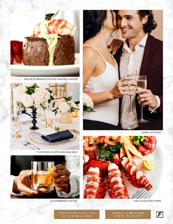

MAIN FILET MIGNON & TRUFFLE-POACHED LOBSTER



\* CUSTOM DÉCOR UPGRADES AVAILABLE



OLD FASHIONED COCKTAIL



SPARKLING TOAST



CHILLED SEAFOOD TOWER

 $\boldsymbol{\mathcal{F}}$ 

QUESTIONS? CALL US AT 813-830-4330

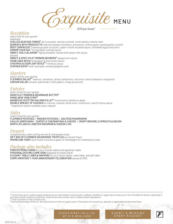$P$  MENU

 *\$175 per Guest†*

#### *Reception*

*select two for your guests displayed* CHILLED SEAFOOD TOWER\* ahi tuna poke, shrimp cocktail, north atlantic lobster tails BURRATA WITH PROSCIUTTO charred campari tomatoes, prosciutto, wild arugula, toasted garlic crostini BEEF CARPACCIO\* toasted gruyère croutons, caper-creole mustard sauce, shredded egg & red onion SHRIMP COCKTAIL\* horseradish cocktail sauce SWEET CHILI CALAMARI<sup>\*</sup> lightly breaded, tossed with sweet chili sauce *passed* SWEET & SPICY FILET MIGNON SKEWERS\* peppercorn sauce CRAB CAKE BITES red pepper & lime butter sauce CHICKPEA & EGGPLANT BITES\*\* romesco sauce CHICKEN SATAY herb marinade, smoked jalapeño aioli

#### *Starters*

*select one for your guests* FLEMING'S SALAD\*\* walnuts, tomatoes, dried cranberries, red onion, lemon balsamic vinaigrette CAESAR SALAD romaine, parmesan, fried capers, crispy prosciutto

#### *Entrées*

*select three for your guests* MAIN FILET MIGNON & BÉARNAISE BUTTER\* PRIME NEW YORK STRIP\* BARBECUE SCOTTISH SALMON FILLET\* mushrooms, barbecue glaze DOUBLE BREAST OF CHICKEN all-natural, roasted, white wine, mushroom, leek & thyme sauce \*vegetarian option available upon request

#### *Sides*

*select three for your guests* FLEMING'S POTATOES | MASHED POTATOES | SAUTÉED MUSHROOMS CAULIFLOWER MASH | CHIPOTLE CHEDDAR MAC & CHEESE | CRISPY BRUSSELS SPROUTS & BACON NORTH ATLANTIC LOBSTER MACARONI & CHEESE (+10)

#### *Dessert*

*complimentary cake cutting service & champagne toast* GIFT BOX OF FLEMING'S HOUSEMADE TRUFFLES as a Guest Favor SPARKLING TOAST each Guest receives a glass of champagne for celebratory toast

#### *Package also includes*

PRINTED MENU CARDS for your Guests tables and appetizer table PERSONALIZED WELCOME SIGN displayed on easel stand ELEGANT TABLE LINEN & NAPKINS for your Guest tables, cake table, and gift table COMPLIMENTARY 1-YEAR ANNIVERSARY CELEBRATION valued at \$150

\* Consuming raw or undercooked meats (such as rare/medium rare), poultry, seafood, shellfish or eggs may increase your risk of foodborne illness, especially if you have certain medical conditions; these items may contain raw or undercooked ingredients.

SUBMIT A WEDDING

EVENT REQUEST

\*\* Item contains or may contain nuts. † Food and beverage minimum. No restrictions on time or guest count. Price does not include tax, gratuity or applicable private event fees

QUESTIONS? CALL US

AT 813-830-4330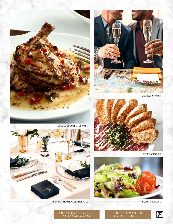



SPARKLING TOAST



BEEF CARPACCIO



**FLEMING'S SALAD** 

 $\boldsymbol{\mathcal{F}}$ 



FLEMING'S HOUSEMADE TRUFFLES

SUBMIT A WEDDING<br>EVENT REQUEST

#### QUESTIONS? CALL US AT 813-830-4330